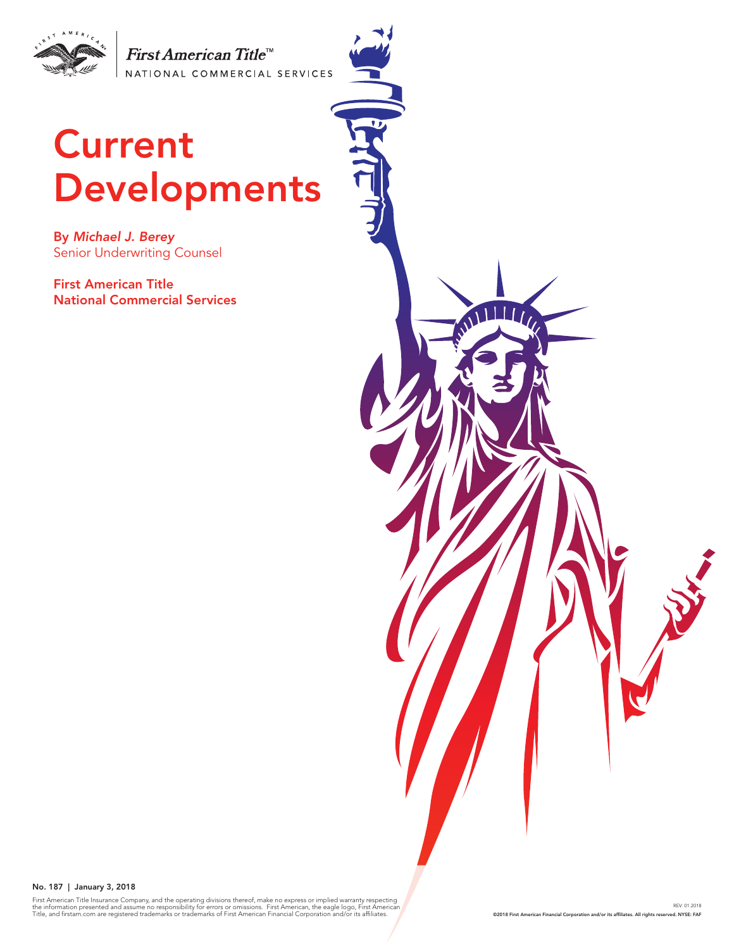

First American Title<sup>™</sup> NATIONAL COMMERCIAL SERVICES

# Current Developments

By *Michael J. Berey*  Senior Underwriting Counsel

First American Title National Commercial Services



No. 187 | January 3, 2018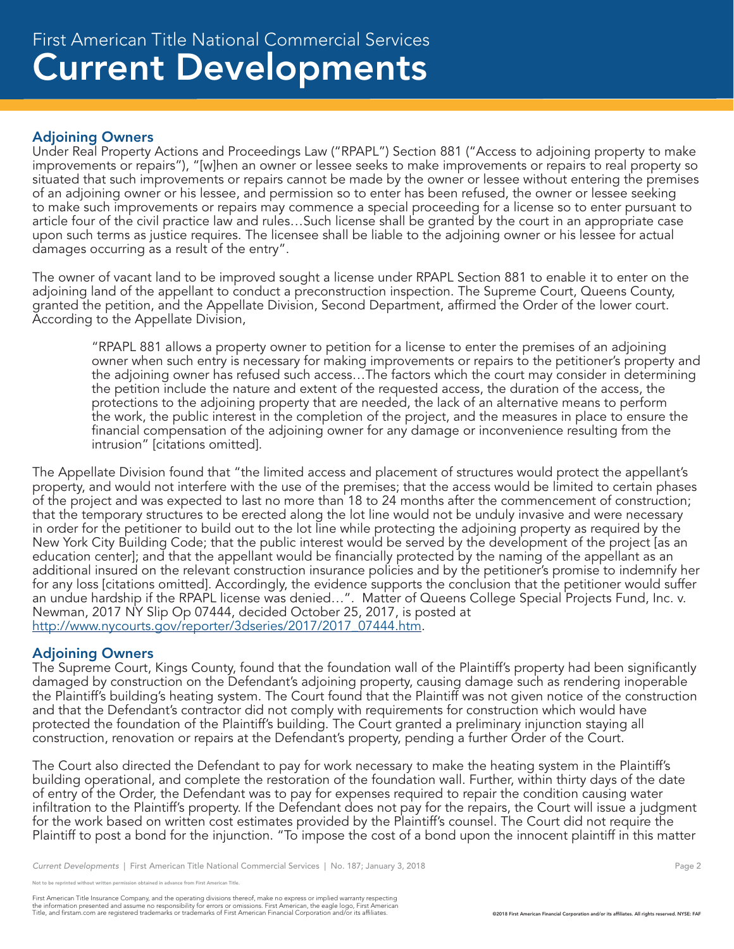# Adjoining Owners

Under Real Property Actions and Proceedings Law ("RPAPL") Section 881 ("Access to adjoining property to make improvements or repairs"), "[w]hen an owner or lessee seeks to make improvements or repairs to real property so situated that such improvements or repairs cannot be made by the owner or lessee without entering the premises of an adjoining owner or his lessee, and permission so to enter has been refused, the owner or lessee seeking to make such improvements or repairs may commence a special proceeding for a license so to enter pursuant to article four of the civil practice law and rules…Such license shall be granted by the court in an appropriate case upon such terms as justice requires. The licensee shall be liable to the adjoining owner or his lessee for actual damages occurring as a result of the entry".

The owner of vacant land to be improved sought a license under RPAPL Section 881 to enable it to enter on the adjoining land of the appellant to conduct a preconstruction inspection. The Supreme Court, Queens County, granted the petition, and the Appellate Division, Second Department, affirmed the Order of the lower court. According to the Appellate Division,

"RPAPL 881 allows a property owner to petition for a license to enter the premises of an adjoining owner when such entry is necessary for making improvements or repairs to the petitioner's property and the adjoining owner has refused such access…The factors which the court may consider in determining the petition include the nature and extent of the requested access, the duration of the access, the protections to the adjoining property that are needed, the lack of an alternative means to perform the work, the public interest in the completion of the project, and the measures in place to ensure the financial compensation of the adjoining owner for any damage or inconvenience resulting from the intrusion" [citations omitted].

The Appellate Division found that "the limited access and placement of structures would protect the appellant's property, and would not interfere with the use of the premises; that the access would be limited to certain phases of the project and was expected to last no more than 18 to 24 months after the commencement of construction; that the temporary structures to be erected along the lot line would not be unduly invasive and were necessary in order for the petitioner to build out to the lot line while protecting the adjoining property as required by the New York City Building Code; that the public interest would be served by the development of the project [as an education center]; and that the appellant would be financially protected by the naming of the appellant as an additional insured on the relevant construction insurance policies and by the petitioner's promise to indemnify her for any loss [citations omitted]. Accordingly, the evidence supports the conclusion that the petitioner would suffer an undue hardship if the RPAPL license was denied…". Matter of Queens College Special Projects Fund, Inc. v. Newman, 2017 NY Slip Op 07444, decided October 25, 2017, is posted at http://www.nycourts.gov/reporter/3dseries/2017/2017\_07444.htm.

#### Adjoining Owners

The Supreme Court, Kings County, found that the foundation wall of the Plaintiff's property had been significantly damaged by construction on the Defendant's adjoining property, causing damage such as rendering inoperable the Plaintiff's building's heating system. The Court found that the Plaintiff was not given notice of the construction and that the Defendant's contractor did not comply with requirements for construction which would have protected the foundation of the Plaintiff's building. The Court granted a preliminary injunction staying all construction, renovation or repairs at the Defendant's property, pending a further Order of the Court.

The Court also directed the Defendant to pay for work necessary to make the heating system in the Plaintiff's building operational, and complete the restoration of the foundation wall. Further, within thirty days of the date of entry of the Order, the Defendant was to pay for expenses required to repair the condition causing water infiltration to the Plaintiff's property. If the Defendant does not pay for the repairs, the Court will issue a judgment for the work based on written cost estimates provided by the Plaintiff's counsel. The Court did not require the Plaintiff to post a bond for the injunction. "To impose the cost of a bond upon the innocent plaintiff in this matter

e reprinted without written permission obtained in advance from First American Title.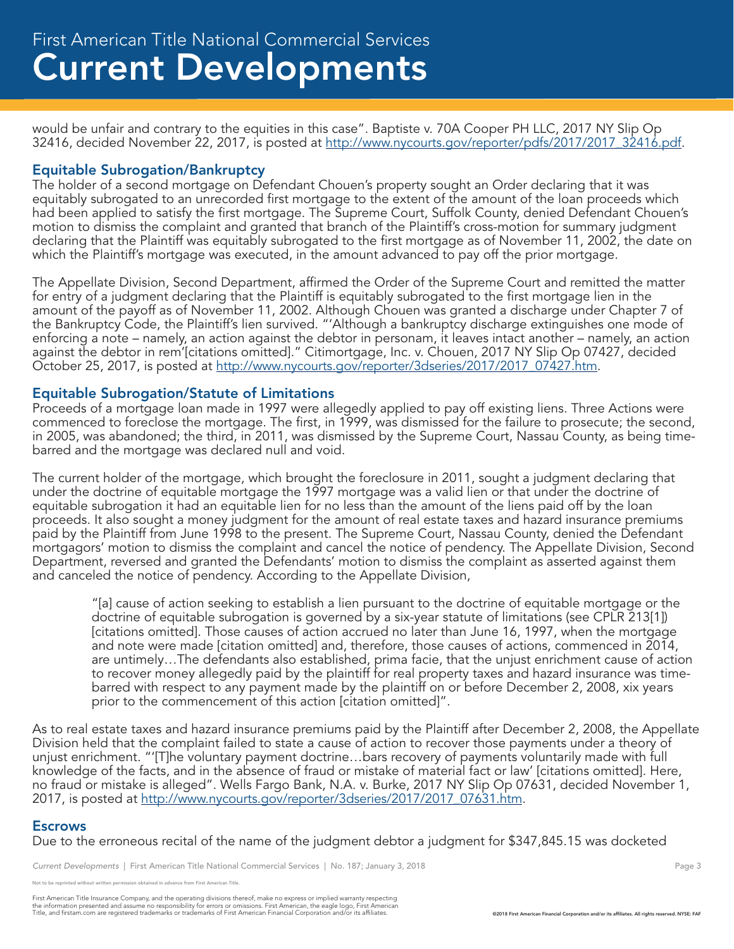would be unfair and contrary to the equities in this case". Baptiste v. 70A Cooper PH LLC, 2017 NY Slip Op 32416, decided November 22, 2017, is posted at http://www.nycourts.gov/reporter/pdfs/2017/2017\_32416.pdf.

# Equitable Subrogation/Bankruptcy

The holder of a second mortgage on Defendant Chouen's property sought an Order declaring that it was equitably subrogated to an unrecorded first mortgage to the extent of the amount of the loan proceeds which had been applied to satisfy the first mortgage. The Supreme Court, Suffolk County, denied Defendant Chouen's motion to dismiss the complaint and granted that branch of the Plaintiff's cross-motion for summary judgment declaring that the Plaintiff was equitably subrogated to the first mortgage as of November 11, 2002, the date on which the Plaintiff's mortgage was executed, in the amount advanced to pay off the prior mortgage.

The Appellate Division, Second Department, affirmed the Order of the Supreme Court and remitted the matter for entry of a judgment declaring that the Plaintiff is equitably subrogated to the first mortgage lien in the amount of the payoff as of November 11, 2002. Although Chouen was granted a discharge under Chapter 7 of the Bankruptcy Code, the Plaintiff's lien survived. "'Although a bankruptcy discharge extinguishes one mode of enforcing a note – namely, an action against the debtor in personam, it leaves intact another – namely, an action against the debtor in rem'[citations omitted]." Citimortgage, Inc. v. Chouen, 2017 NY Slip Op 07427, decided October 25, 2017, is posted at http://www.nycourts.gov/reporter/3dseries/2017/2017\_07427.htm.

#### Equitable Subrogation/Statute of Limitations

Proceeds of a mortgage loan made in 1997 were allegedly applied to pay off existing liens. Three Actions were commenced to foreclose the mortgage. The first, in 1999, was dismissed for the failure to prosecute; the second, in 2005, was abandoned; the third, in 2011, was dismissed by the Supreme Court, Nassau County, as being timebarred and the mortgage was declared null and void.

The current holder of the mortgage, which brought the foreclosure in 2011, sought a judgment declaring that under the doctrine of equitable mortgage the 1997 mortgage was a valid lien or that under the doctrine of equitable subrogation it had an equitable lien for no less than the amount of the liens paid off by the loan proceeds. It also sought a money judgment for the amount of real estate taxes and hazard insurance premiums paid by the Plaintiff from June 1998 to the present. The Supreme Court, Nassau County, denied the Defendant mortgagors' motion to dismiss the complaint and cancel the notice of pendency. The Appellate Division, Second Department, reversed and granted the Defendants' motion to dismiss the complaint as asserted against them and canceled the notice of pendency. According to the Appellate Division,

"[a] cause of action seeking to establish a lien pursuant to the doctrine of equitable mortgage or the doctrine of equitable subrogation is governed by a six-year statute of limitations (see CPLR 213[1]) [citations omitted]. Those causes of action accrued no later than June 16, 1997, when the mortgage and note were made [citation omitted] and, therefore, those causes of actions, commenced in 2014, are untimely…The defendants also established, prima facie, that the unjust enrichment cause of action to recover money allegedly paid by the plaintiff for real property taxes and hazard insurance was timebarred with respect to any payment made by the plaintiff on or before December 2, 2008, xix years prior to the commencement of this action [citation omitted]".

As to real estate taxes and hazard insurance premiums paid by the Plaintiff after December 2, 2008, the Appellate Division held that the complaint failed to state a cause of action to recover those payments under a theory of unjust enrichment. "'[T]he voluntary payment doctrine…bars recovery of payments voluntarily made with full knowledge of the facts, and in the absence of fraud or mistake of material fact or law' [citations omitted]. Here, no fraud or mistake is alleged". Wells Fargo Bank, N.A. v. Burke, 2017 NY Slip Op 07631, decided November 1, 2017, is posted at http://www.nycourts.gov/reporter/3dseries/2017/2017\_07631.htm.

#### **Escrows**

Due to the erroneous recital of the name of the judgment debtor a judgment for \$347,845.15 was docketed

*Current Developments* | First American Title National Commercial Services | No. 187; January 3, 2018 **Page 3** Page 3

.<br>Note reprinted without written permission obtained in advance from First American Title.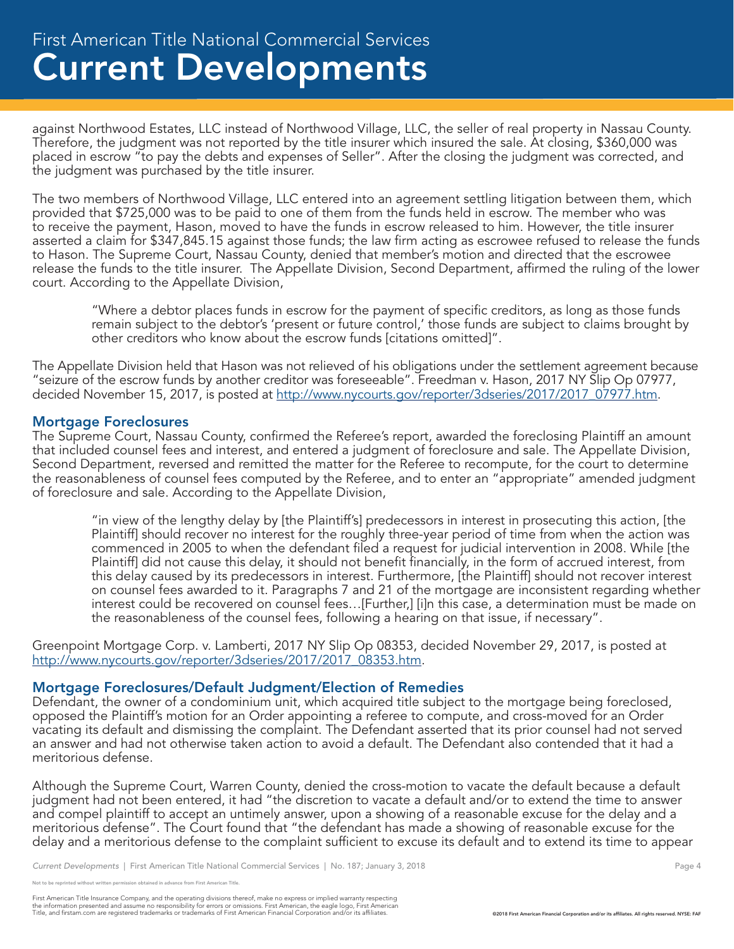against Northwood Estates, LLC instead of Northwood Village, LLC, the seller of real property in Nassau County. Therefore, the judgment was not reported by the title insurer which insured the sale. At closing, \$360,000 was placed in escrow "to pay the debts and expenses of Seller". After the closing the judgment was corrected, and the judgment was purchased by the title insurer.

The two members of Northwood Village, LLC entered into an agreement settling litigation between them, which provided that \$725,000 was to be paid to one of them from the funds held in escrow. The member who was to receive the payment, Hason, moved to have the funds in escrow released to him. However, the title insurer asserted a claim for \$347,845.15 against those funds; the law firm acting as escrowee refused to release the funds to Hason. The Supreme Court, Nassau County, denied that member's motion and directed that the escrowee release the funds to the title insurer. The Appellate Division, Second Department, affirmed the ruling of the lower court. According to the Appellate Division,

"Where a debtor places funds in escrow for the payment of specific creditors, as long as those funds remain subject to the debtor's 'present or future control,' those funds are subject to claims brought by other creditors who know about the escrow funds [citations omitted]".

The Appellate Division held that Hason was not relieved of his obligations under the settlement agreement because "seizure of the escrow funds by another creditor was foreseeable". Freedman v. Hason, 2017 NY Slip Op 07977, decided November 15, 2017, is posted at http://www.nycourts.gov/reporter/3dseries/2017/2017\_07977.htm.

# Mortgage Foreclosures

The Supreme Court, Nassau County, confirmed the Referee's report, awarded the foreclosing Plaintiff an amount that included counsel fees and interest, and entered a judgment of foreclosure and sale. The Appellate Division, Second Department, reversed and remitted the matter for the Referee to recompute, for the court to determine the reasonableness of counsel fees computed by the Referee, and to enter an "appropriate" amended judgment of foreclosure and sale. According to the Appellate Division,

"in view of the lengthy delay by [the Plaintiff's] predecessors in interest in prosecuting this action, [the Plaintiff] should recover no interest for the roughly three-year period of time from when the action was commenced in 2005 to when the defendant filed a request for judicial intervention in 2008. While [the Plaintiff] did not cause this delay, it should not benefit financially, in the form of accrued interest, from this delay caused by its predecessors in interest. Furthermore, [the Plaintiff] should not recover interest on counsel fees awarded to it. Paragraphs 7 and 21 of the mortgage are inconsistent regarding whether interest could be recovered on counsel fees…[Further,] [i]n this case, a determination must be made on the reasonableness of the counsel fees, following a hearing on that issue, if necessary".

Greenpoint Mortgage Corp. v. Lamberti, 2017 NY Slip Op 08353, decided November 29, 2017, is posted at http://www.nycourts.gov/reporter/3dseries/2017/2017\_08353.htm.

#### Mortgage Foreclosures/Default Judgment/Election of Remedies

Defendant, the owner of a condominium unit, which acquired title subject to the mortgage being foreclosed, opposed the Plaintiff's motion for an Order appointing a referee to compute, and cross-moved for an Order vacating its default and dismissing the complaint. The Defendant asserted that its prior counsel had not served an answer and had not otherwise taken action to avoid a default. The Defendant also contended that it had a meritorious defense.

Although the Supreme Court, Warren County, denied the cross-motion to vacate the default because a default judgment had not been entered, it had "the discretion to vacate a default and/or to extend the time to answer and compel plaintiff to accept an untimely answer, upon a showing of a reasonable excuse for the delay and a meritorious defense". The Court found that "the defendant has made a showing of reasonable excuse for the delay and a meritorious defense to the complaint sufficient to excuse its default and to extend its time to appear

be reprinted without written permission obtained in advance from First American Title.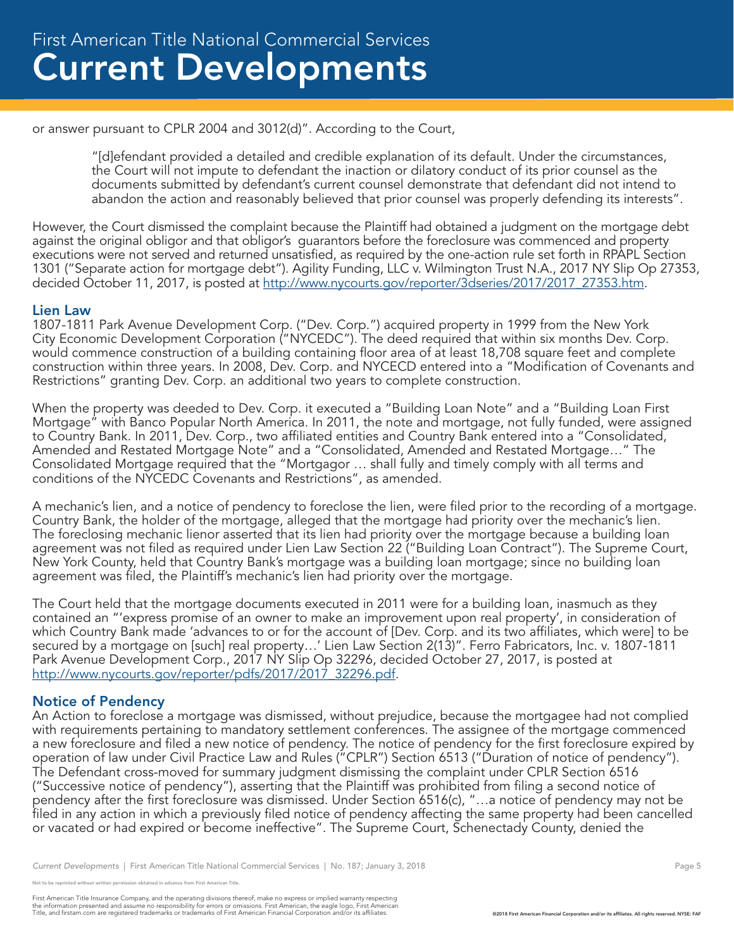or answer pursuant to CPLR 2004 and 3012(d)". According to the Court,

"[d]efendant provided a detailed and credible explanation of its default. Under the circumstances, the Court will not impute to defendant the inaction or dilatory conduct of its prior counsel as the documents submitted by defendant's current counsel demonstrate that defendant did not intend to abandon the action and reasonably believed that prior counsel was properly defending its interests".

However, the Court dismissed the complaint because the Plaintiff had obtained a judgment on the mortgage debt against the original obligor and that obligor's guarantors before the foreclosure was commenced and property executions were not served and returned unsatisfied, as required by the one-action rule set forth in RPAPL Section 1301 ("Separate action for mortgage debt"). Agility Funding, LLC v. Wilmington Trust N.A., 2017 NY Slip Op 27353, decided October 11, 2017, is posted at http://www.nycourts.gov/reporter/3dseries/2017/2017\_27353.htm.

#### Lien Law

1807-1811 Park Avenue Development Corp. ("Dev. Corp.") acquired property in 1999 from the New York City Economic Development Corporation ("NYCEDC"). The deed required that within six months Dev. Corp. would commence construction of a building containing floor area of at least 18,708 square feet and complete construction within three years. In 2008, Dev. Corp. and NYCECD entered into a "Modification of Covenants and Restrictions" granting Dev. Corp. an additional two years to complete construction.

When the property was deeded to Dev. Corp. it executed a "Building Loan Note" and a "Building Loan First Mortgage" with Banco Popular North America. In 2011, the note and mortgage, not fully funded, were assigned to Country Bank. In 2011, Dev. Corp., two affiliated entities and Country Bank entered into a "Consolidated, Amended and Restated Mortgage Note" and a "Consolidated, Amended and Restated Mortgage…" The Consolidated Mortgage required that the "Mortgagor … shall fully and timely comply with all terms and conditions of the NYCEDC Covenants and Restrictions", as amended.

A mechanic's lien, and a notice of pendency to foreclose the lien, were filed prior to the recording of a mortgage. Country Bank, the holder of the mortgage, alleged that the mortgage had priority over the mechanic's lien. The foreclosing mechanic lienor asserted that its lien had priority over the mortgage because a building loan agreement was not filed as required under Lien Law Section 22 ("Building Loan Contract"). The Supreme Court, New York County, held that Country Bank's mortgage was a building loan mortgage; since no building loan agreement was filed, the Plaintiff's mechanic's lien had priority over the mortgage.

The Court held that the mortgage documents executed in 2011 were for a building loan, inasmuch as they contained an "'express promise of an owner to make an improvement upon real property', in consideration of which Country Bank made 'advances to or for the account of [Dev. Corp. and its two affiliates, which were] to be secured by a mortgage on [such] real property…' Lien Law Section 2(13)". Ferro Fabricators, Inc. v. 1807-1811 Park Avenue Development Corp., 2017 NY Slip Op 32296, decided October 27, 2017, is posted at http://www.nycourts.gov/reporter/pdfs/2017/2017\_32296.pdf.

# Notice of Pendency

An Action to foreclose a mortgage was dismissed, without prejudice, because the mortgagee had not complied with requirements pertaining to mandatory settlement conferences. The assignee of the mortgage commenced a new foreclosure and filed a new notice of pendency. The notice of pendency for the first foreclosure expired by operation of law under Civil Practice Law and Rules ("CPLR") Section 6513 ("Duration of notice of pendency"). The Defendant cross-moved for summary judgment dismissing the complaint under CPLR Section 6516 ("Successive notice of pendency"), asserting that the Plaintiff was prohibited from filing a second notice of pendency after the first foreclosure was dismissed. Under Section 6516(c), "…a notice of pendency may not be filed in any action in which a previously filed notice of pendency affecting the same property had been cancelled or vacated or had expired or become ineffective". The Supreme Court, Schenectady County, denied the

*Current Developments* | First American Title National Commercial Services | No. 187; January 3, 2018 **Page 5** Page 5

.<br>Note reprinted without written permission obtained in advance from First American Title.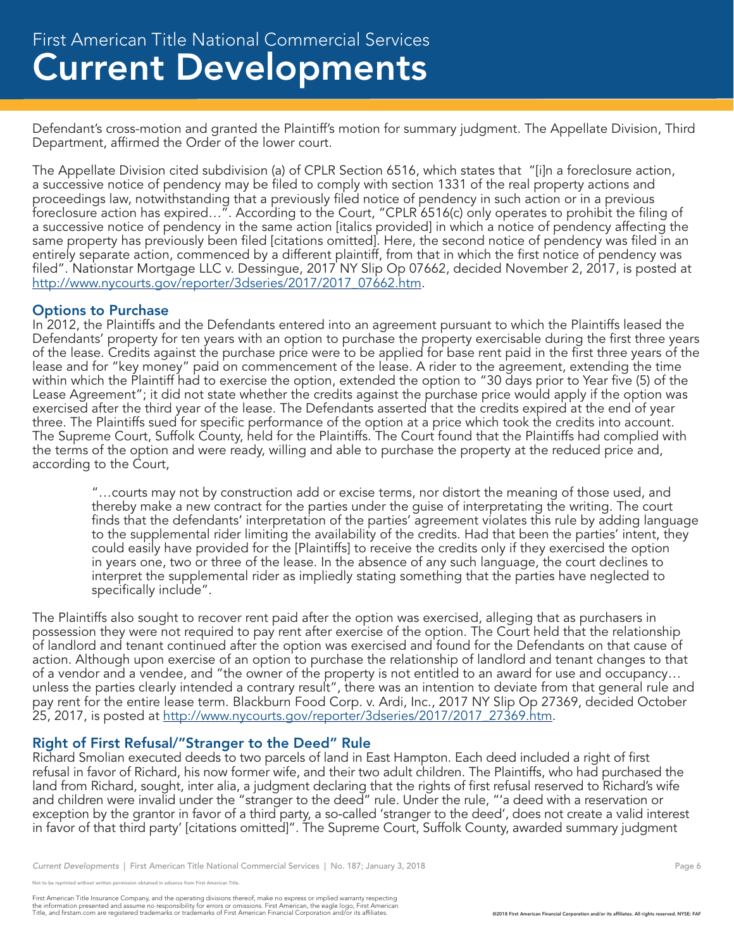Defendant's cross-motion and granted the Plaintiff's motion for summary judgment. The Appellate Division, Third Department, affirmed the Order of the lower court.

The Appellate Division cited subdivision (a) of CPLR Section 6516, which states that "[i]n a foreclosure action, a successive notice of pendency may be filed to comply with section 1331 of the real property actions and proceedings law, notwithstanding that a previously filed notice of pendency in such action or in a previous foreclosure action has expired…". According to the Court, "CPLR 6516(c) only operates to prohibit the filing of a successive notice of pendency in the same action [italics provided] in which a notice of pendency affecting the same property has previously been filed [citations omitted]. Here, the second notice of pendency was filed in an entirely separate action, commenced by a different plaintiff, from that in which the first notice of pendency was filed". Nationstar Mortgage LLC v. Dessingue, 2017 NY Slip Op 07662, decided November 2, 2017, is posted at http://www.nycourts.gov/reporter/3dseries/2017/2017\_07662.htm.

# Options to Purchase

In 2012, the Plaintiffs and the Defendants entered into an agreement pursuant to which the Plaintiffs leased the Defendants' property for ten years with an option to purchase the property exercisable during the first three years of the lease. Credits against the purchase price were to be applied for base rent paid in the first three years of the lease and for "key money" paid on commencement of the lease. A rider to the agreement, extending the time within which the Plaintiff had to exercise the option, extended the option to "30 days prior to Year five (5) of the Lease Agreement"; it did not state whether the credits against the purchase price would apply if the option was exercised after the third year of the lease. The Defendants asserted that the credits expired at the end of year three. The Plaintiffs sued for specific performance of the option at a price which took the credits into account. The Supreme Court, Suffolk County, held for the Plaintiffs. The Court found that the Plaintiffs had complied with the terms of the option and were ready, willing and able to purchase the property at the reduced price and, according to the Court,

"…courts may not by construction add or excise terms, nor distort the meaning of those used, and thereby make a new contract for the parties under the guise of interpretating the writing. The court finds that the defendants' interpretation of the parties' agreement violates this rule by adding language to the supplemental rider limiting the availability of the credits. Had that been the parties' intent, they could easily have provided for the [Plaintiffs] to receive the credits only if they exercised the option in years one, two or three of the lease. In the absence of any such language, the court declines to interpret the supplemental rider as impliedly stating something that the parties have neglected to specifically include".

The Plaintiffs also sought to recover rent paid after the option was exercised, alleging that as purchasers in possession they were not required to pay rent after exercise of the option. The Court held that the relationship of landlord and tenant continued after the option was exercised and found for the Defendants on that cause of action. Although upon exercise of an option to purchase the relationship of landlord and tenant changes to that of a vendor and a vendee, and "the owner of the property is not entitled to an award for use and occupancy… unless the parties clearly intended a contrary result", there was an intention to deviate from that general rule and pay rent for the entire lease term. Blackburn Food Corp. v. Ardi, Inc., 2017 NY Slip Op 27369, decided October 25, 2017, is posted at http://www.nycourts.gov/reporter/3dseries/2017/2017\_27369.htm.

#### Right of First Refusal/"Stranger to the Deed" Rule

Richard Smolian executed deeds to two parcels of land in East Hampton. Each deed included a right of first refusal in favor of Richard, his now former wife, and their two adult children. The Plaintiffs, who had purchased the land from Richard, sought, inter alia, a judgment declaring that the rights of first refusal reserved to Richard's wife and children were invalid under the "stranger to the deed" rule. Under the rule, "'a deed with a reservation or exception by the grantor in favor of a third party, a so-called 'stranger to the deed', does not create a valid interest in favor of that third party' [citations omitted]". The Supreme Court, Suffolk County, awarded summary judgment

e reprinted without written permission obtained in advance from First American Title.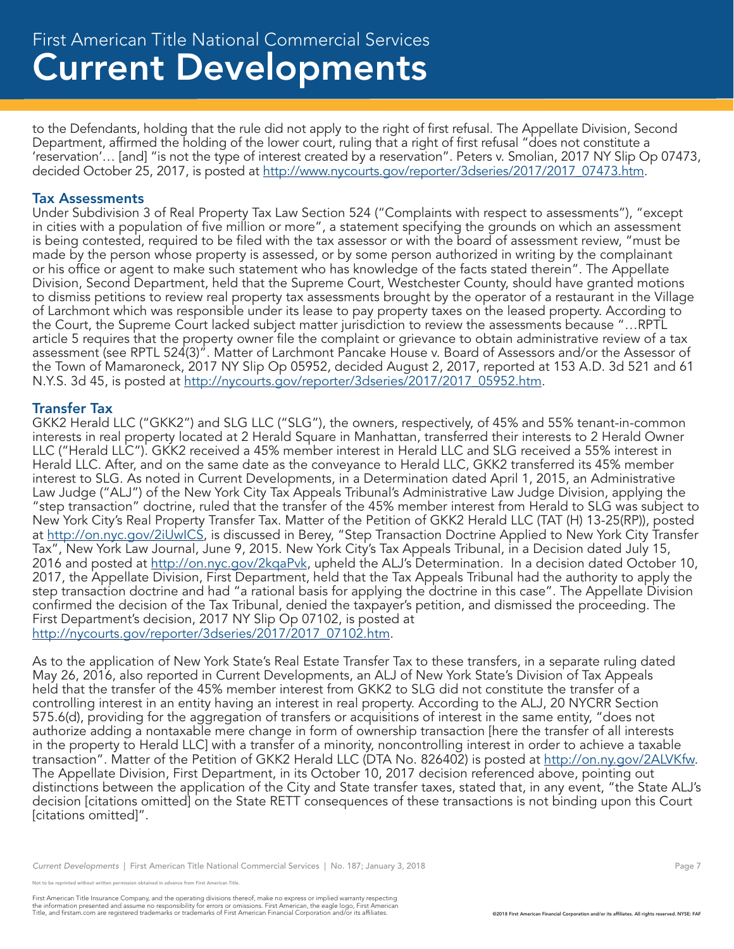to the Defendants, holding that the rule did not apply to the right of first refusal. The Appellate Division, Second Department, affirmed the holding of the lower court, ruling that a right of first refusal "does not constitute a 'reservation'… [and] "is not the type of interest created by a reservation". Peters v. Smolian, 2017 NY Slip Op 07473, decided October 25, 2017, is posted at <u>http://www.nycourts.gov/reporter/3dseries/2017/2017\_07473.htm</u>.

#### Tax Assessments

Under Subdivision 3 of Real Property Tax Law Section 524 ("Complaints with respect to assessments"), "except in cities with a population of five million or more", a statement specifying the grounds on which an assessment is being contested, required to be filed with the tax assessor or with the board of assessment review, "must be made by the person whose property is assessed, or by some person authorized in writing by the complainant or his office or agent to make such statement who has knowledge of the facts stated therein". The Appellate Division, Second Department, held that the Supreme Court, Westchester County, should have granted motions to dismiss petitions to review real property tax assessments brought by the operator of a restaurant in the Village of Larchmont which was responsible under its lease to pay property taxes on the leased property. According to the Court, the Supreme Court lacked subject matter jurisdiction to review the assessments because "…RPTL article 5 requires that the property owner file the complaint or grievance to obtain administrative review of a tax assessment (see RPTL 524(3)". Matter of Larchmont Pancake House v. Board of Assessors and/or the Assessor of the Town of Mamaroneck, 2017 NY Slip Op 05952, decided August 2, 2017, reported at 153 A.D. 3d 521 and 61 N.Y.S. 3d 45, is posted at http://nycourts.gov/reporter/3dseries/2017/2017\_05952.htm.

#### Transfer Tax

GKK2 Herald LLC ("GKK2") and SLG LLC ("SLG"), the owners, respectively, of 45% and 55% tenant-in-common interests in real property located at 2 Herald Square in Manhattan, transferred their interests to 2 Herald Owner LLC ("Herald LLC"). GKK2 received a 45% member interest in Herald LLC and SLG received a 55% interest in Herald LLC. After, and on the same date as the conveyance to Herald LLC, GKK2 transferred its 45% member interest to SLG. As noted in Current Developments, in a Determination dated April 1, 2015, an Administrative Law Judge ("ALJ") of the New York City Tax Appeals Tribunal's Administrative Law Judge Division, applying the "step transaction" doctrine, ruled that the transfer of the 45% member interest from Herald to SLG was subject to New York City's Real Property Transfer Tax. Matter of the Petition of GKK2 Herald LLC (TAT (H) 13-25(RP)), posted at http://on.nyc.gov/2iUwICS, is discussed in Berey, "Step Transaction Doctrine Applied to New York City Transfer Tax", New York Law Journal, June 9, 2015. New York City's Tax Appeals Tribunal, in a Decision dated July 15, 2016 and posted at http://on.nyc.gov/2kqaPvk, upheld the ALJ's Determination. In a decision dated October 10, 2017, the Appellate Division, First Department, held that the Tax Appeals Tribunal had the authority to apply the step transaction doctrine and had "a rational basis for applying the doctrine in this case". The Appellate Division confirmed the decision of the Tax Tribunal, denied the taxpayer's petition, and dismissed the proceeding. The First Department's decision, 2017 NY Slip Op 07102, is posted at http://nycourts.gov/reporter/3dseries/2017/2017\_07102.htm.

As to the application of New York State's Real Estate Transfer Tax to these transfers, in a separate ruling dated May 26, 2016, also reported in Current Developments, an ALJ of New York State's Division of Tax Appeals held that the transfer of the 45% member interest from GKK2 to SLG did not constitute the transfer of a controlling interest in an entity having an interest in real property. According to the ALJ, 20 NYCRR Section 575.6(d), providing for the aggregation of transfers or acquisitions of interest in the same entity, "does not authorize adding a nontaxable mere change in form of ownership transaction [here the transfer of all interests in the property to Herald LLC] with a transfer of a minority, noncontrolling interest in order to achieve a taxable transaction". Matter of the Petition of GKK2 Herald LLC (DTA No. 826402) is posted at http://on.ny.gov/2ALVKfw. The Appellate Division, First Department, in its October 10, 2017 decision referenced above, pointing out distinctions between the application of the City and State transfer taxes, stated that, in any event, "the State ALJ's decision [citations omitted] on the State RETT consequences of these transactions is not binding upon this Court [citations omitted]".

*Current Developments* | First American Title National Commercial Services | No. 187; January 3, 2018 **Page 7** Page 7

e reprinted without written permission obtained in advance from First American Title